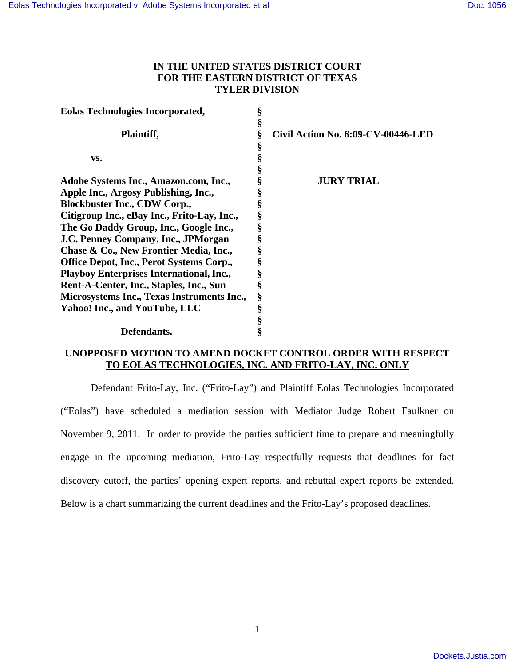## **IN THE UNITED STATES DISTRICT COURT FOR THE EASTERN DISTRICT OF TEXAS TYLER DIVISION**

| <b>Eolas Technologies Incorporated,</b>         | ş |                                    |
|-------------------------------------------------|---|------------------------------------|
|                                                 | § |                                    |
| Plaintiff,                                      | ş | Civil Action No. 6:09-CV-00446-LED |
|                                                 |   |                                    |
| VS.                                             |   |                                    |
|                                                 |   |                                    |
| Adobe Systems Inc., Amazon.com, Inc.,           |   | <b>JURY TRIAL</b>                  |
| Apple Inc., Argosy Publishing, Inc.,            |   |                                    |
| <b>Blockbuster Inc., CDW Corp.,</b>             |   |                                    |
| Citigroup Inc., eBay Inc., Frito-Lay, Inc.,     |   |                                    |
| The Go Daddy Group, Inc., Google Inc.,          |   |                                    |
| J.C. Penney Company, Inc., JPMorgan             |   |                                    |
| Chase & Co., New Frontier Media, Inc.,          |   |                                    |
| <b>Office Depot, Inc., Perot Systems Corp.,</b> |   |                                    |
| <b>Playboy Enterprises International, Inc.,</b> |   |                                    |
| Rent-A-Center, Inc., Staples, Inc., Sun         | ş |                                    |
| Microsystems Inc., Texas Instruments Inc.,      | § |                                    |
| Yahoo! Inc., and YouTube, LLC                   | § |                                    |
|                                                 |   |                                    |
| Defendants.                                     |   |                                    |

### **UNOPPOSED MOTION TO AMEND DOCKET CONTROL ORDER WITH RESPECT TO EOLAS TECHNOLOGIES, INC. AND FRITO-LAY, INC. ONLY**

Defendant Frito-Lay, Inc. ("Frito-Lay") and Plaintiff Eolas Technologies Incorporated ("Eolas") have scheduled a mediation session with Mediator Judge Robert Faulkner on November 9, 2011. In order to provide the parties sufficient time to prepare and meaningfully engage in the upcoming mediation, Frito-Lay respectfully requests that deadlines for fact discovery cutoff, the parties' opening expert reports, and rebuttal expert reports be extended. Below is a chart summarizing the current deadlines and the Frito-Lay's proposed deadlines.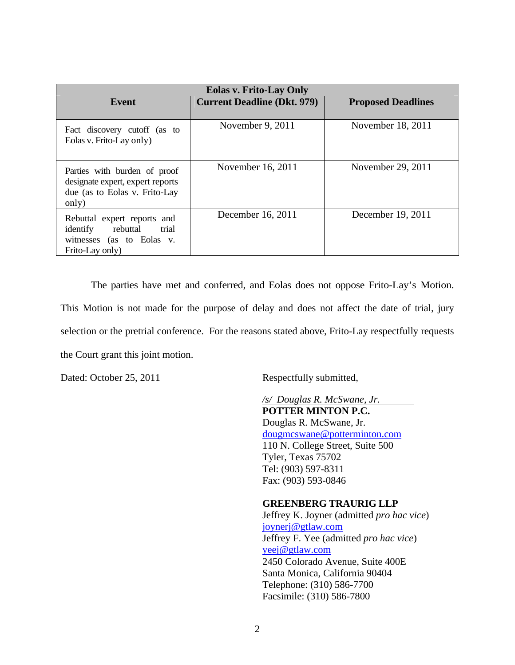| <b>Eolas v. Frito-Lay Only</b>                                                                               |                                    |                           |  |
|--------------------------------------------------------------------------------------------------------------|------------------------------------|---------------------------|--|
| Event                                                                                                        | <b>Current Deadline (Dkt. 979)</b> | <b>Proposed Deadlines</b> |  |
| Fact discovery cutoff (as to<br>Eolas v. Frito-Lay only)                                                     | November 9, 2011                   | November 18, 2011         |  |
| Parties with burden of proof<br>designate expert, expert reports<br>due (as to Eolas v. Frito-Lay<br>only)   | November 16, 2011                  | November 29, 2011         |  |
| Rebuttal expert reports and<br>rebuttal<br>trial<br>identify<br>witnesses (as to Eolas v.<br>Frito-Lay only) | December 16, 2011                  | December 19, 2011         |  |

The parties have met and conferred, and Eolas does not oppose Frito-Lay's Motion. This Motion is not made for the purpose of delay and does not affect the date of trial, jury selection or the pretrial conference. For the reasons stated above, Frito-Lay respectfully requests the Court grant this joint motion.

Dated: October 25, 2011 Respectfully submitted,

*/s/ Douglas R. McSwane, Jr.*  **POTTER MINTON P.C.**  Douglas R. McSwane, Jr. dougmcswane@potterminton.com 110 N. College Street, Suite 500 Tyler, Texas 75702 Tel: (903) 597-8311 Fax: (903) 593-0846

#### **GREENBERG TRAURIG LLP**

Jeffrey K. Joyner (admitted *pro hac vice*) joynerj@gtlaw.com Jeffrey F. Yee (admitted *pro hac vice*) yeej@gtlaw.com 2450 Colorado Avenue, Suite 400E Santa Monica, California 90404 Telephone: (310) 586-7700 Facsimile: (310) 586-7800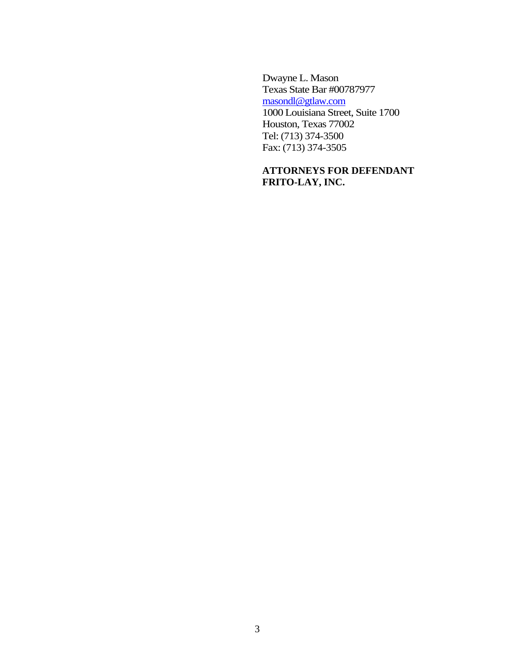Dwayne L. Mason Texas State Bar #00787977 masondl@gtlaw.com 1000 Louisiana Street, Suite 1700 Houston, Texas 77002 Tel: (713) 374-3500 Fax: (713) 374-3505

# **ATTORNEYS FOR DEFENDANT FRITO-LAY, INC.**